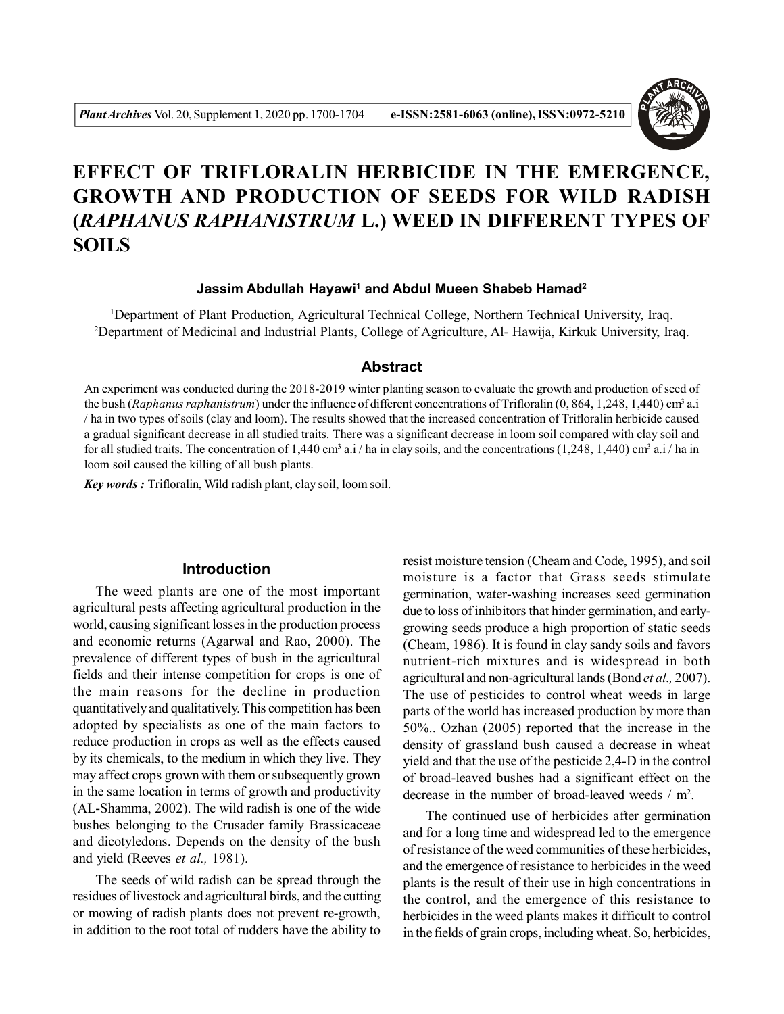

# **EFFECT OF TRIFLORALIN HERBICIDE IN THE EMERGENCE, GROWTH AND PRODUCTION OF SEEDS FOR WILD RADISH (***RAPHANUS RAPHANISTRUM* **L.) WEED IN DIFFERENT TYPES OF SOILS**

#### **Jassim Abdullah Hayawi<sup>1</sup> and Abdul Mueen Shabeb Hamad<sup>2</sup>**

<sup>1</sup>Department of Plant Production, Agricultural Technical College, Northern Technical University, Iraq. <sup>2</sup>Department of Medicinal and Industrial Plants, College of Agriculture, Al- Hawija, Kirkuk University, Iraq.

## **Abstract**

An experiment was conducted during the 2018-2019 winter planting season to evaluate the growth and production of seed of the bush (*Raphanus raphanistrum*) under the influence of different concentrations of Trifloralin (0, 864, 1,248, 1,440) cm<sup>3</sup> a.i / ha in two types of soils (clay and loom). The results showed that the increased concentration of Trifloralin herbicide caused a gradual significant decrease in all studied traits. There was a significant decrease in loom soil compared with clay soil and for all studied traits. The concentration of 1,440 cm<sup>3</sup> a.i/ha in clay soils, and the concentrations  $(1,248, 1,440)$  cm<sup>3</sup> a.i/ha in loom soil caused the killing of all bush plants.

*Key words :* Trifloralin, Wild radish plant, clay soil, loom soil.

# **Introduction**

The weed plants are one of the most important agricultural pests affecting agricultural production in the world, causing significant losses in the production process and economic returns (Agarwal and Rao, 2000). The prevalence of different types of bush in the agricultural fields and their intense competition for crops is one of the main reasons for the decline in production quantitatively and qualitatively. This competition has been adopted by specialists as one of the main factors to reduce production in crops as well as the effects caused by its chemicals, to the medium in which they live. They may affect crops grown with them or subsequently grown in the same location in terms of growth and productivity (AL-Shamma, 2002). The wild radish is one of the wide bushes belonging to the Crusader family Brassicaceae and dicotyledons. Depends on the density of the bush and yield (Reeves *et al.,* 1981).

The seeds of wild radish can be spread through the residues of livestock and agricultural birds, and the cutting or mowing of radish plants does not prevent re-growth, in addition to the root total of rudders have the ability to resist moisture tension (Cheam and Code, 1995), and soil moisture is a factor that Grass seeds stimulate germination, water-washing increases seed germination due to loss of inhibitors that hinder germination, and earlygrowing seeds produce a high proportion of static seeds (Cheam, 1986). It is found in clay sandy soils and favors nutrient-rich mixtures and is widespread in both agricultural and non-agricultural lands (Bond *et al.,* 2007). The use of pesticides to control wheat weeds in large parts of the world has increased production by more than 50%.. Ozhan (2005) reported that the increase in the density of grassland bush caused a decrease in wheat yield and that the use of the pesticide 2,4-D in the control of broad-leaved bushes had a significant effect on the decrease in the number of broad-leaved weeds  $/m<sup>2</sup>$ .

The continued use of herbicides after germination and for a long time and widespread led to the emergence of resistance of the weed communities of these herbicides, and the emergence of resistance to herbicides in the weed plants is the result of their use in high concentrations in the control, and the emergence of this resistance to herbicides in the weed plants makes it difficult to control in the fields of grain crops, including wheat. So, herbicides,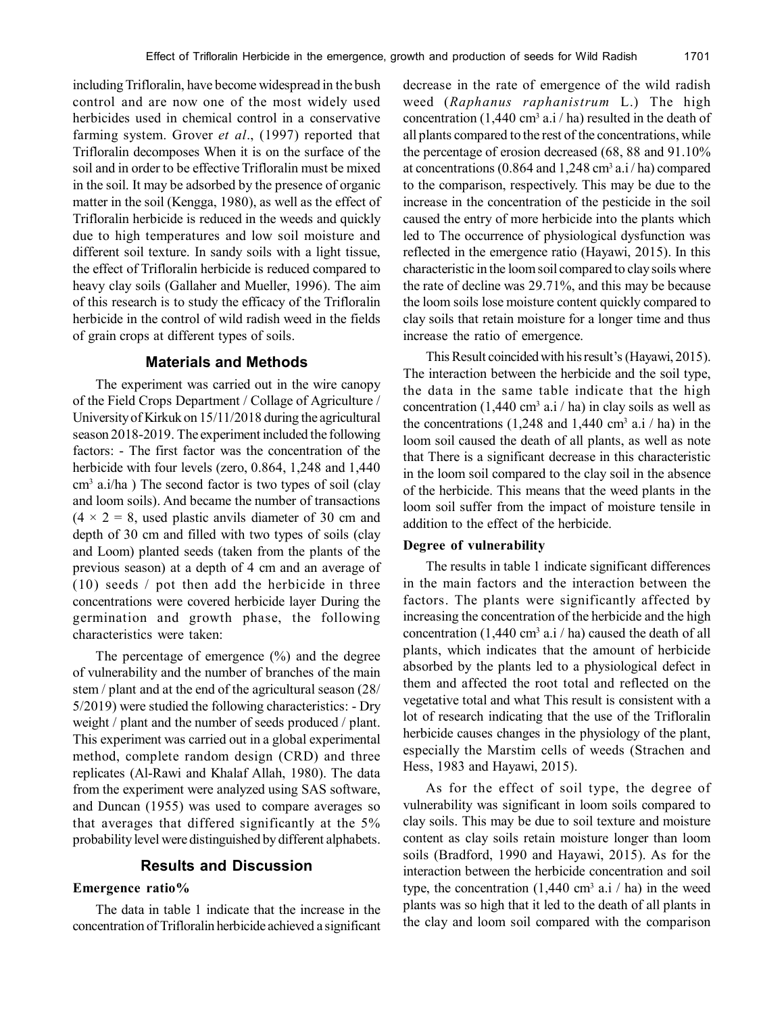including Trifloralin, have become widespread in the bush control and are now one of the most widely used herbicides used in chemical control in a conservative farming system. Grover *et al*., (1997) reported that Trifloralin decomposes When it is on the surface of the soil and in order to be effective Trifloralin must be mixed in the soil. It may be adsorbed by the presence of organic matter in the soil (Kengga, 1980), as well as the effect of Trifloralin herbicide is reduced in the weeds and quickly due to high temperatures and low soil moisture and different soil texture. In sandy soils with a light tissue, the effect of Trifloralin herbicide is reduced compared to heavy clay soils (Gallaher and Mueller, 1996). The aim of this research is to study the efficacy of the Trifloralin herbicide in the control of wild radish weed in the fields of grain crops at different types of soils.

## **Materials and Methods**

The experiment was carried out in the wire canopy of the Field Crops Department / Collage of Agriculture / University of Kirkuk on 15/11/2018 during the agricultural season 2018-2019. The experiment included the following factors: - The first factor was the concentration of the herbicide with four levels (zero, 0.864, 1,248 and 1,440) cm<sup>3</sup> a.i/ha ) The second factor is two types of soil (clay and loom soils). And became the number of transactions  $(4 \times 2 = 8$ , used plastic anvils diameter of 30 cm and depth of 30 cm and filled with two types of soils (clay and Loom) planted seeds (taken from the plants of the previous season) at a depth of 4 cm and an average of (10) seeds / pot then add the herbicide in three concentrations were covered herbicide layer During the germination and growth phase, the following characteristics were taken:

The percentage of emergence (%) and the degree of vulnerability and the number of branches of the main stem / plant and at the end of the agricultural season (28/ 5/2019) were studied the following characteristics: - Dry weight / plant and the number of seeds produced / plant. This experiment was carried out in a global experimental method, complete random design (CRD) and three replicates (Al-Rawi and Khalaf Allah, 1980). The data from the experiment were analyzed using SAS software, and Duncan (1955) was used to compare averages so that averages that differed significantly at the 5% probability level were distinguished by different alphabets.

# **Results and Discussion**

# **Emergence ratio%**

The data in table 1 indicate that the increase in the concentration of Trifloralin herbicide achieved a significant decrease in the rate of emergence of the wild radish weed (*Raphanus raphanistrum* L.) The high concentration  $(1,440 \text{ cm}^3 \text{ a.} \text{i} / \text{ha})$  resulted in the death of all plants compared to the rest of the concentrations, while the percentage of erosion decreased (68, 88 and 91.10% at concentrations (0.864 and 1,248 cm<sup>3</sup> a.i/ha) compared to the comparison, respectively. This may be due to the increase in the concentration of the pesticide in the soil caused the entry of more herbicide into the plants which led to The occurrence of physiological dysfunction was reflected in the emergence ratio (Hayawi, 2015). In this characteristic in the loom soil compared to clay soils where the rate of decline was 29.71%, and this may be because the loom soils lose moisture content quickly compared to clay soils that retain moisture for a longer time and thus increase the ratio of emergence.

This Result coincided with his result's (Hayawi, 2015). The interaction between the herbicide and the soil type, the data in the same table indicate that the high concentration  $(1,440 \text{ cm}^3 \text{ a}.)$  ha) in clay soils as well as the concentrations  $(1,248 \text{ and } 1,440 \text{ cm}^3 \text{ a.i} / \text{ha})$  in the loom soil caused the death of all plants, as well as note that There is a significant decrease in this characteristic in the loom soil compared to the clay soil in the absence of the herbicide. This means that the weed plants in the loom soil suffer from the impact of moisture tensile in addition to the effect of the herbicide.

#### **Degree of vulnerability**

The results in table 1 indicate significant differences in the main factors and the interaction between the factors. The plants were significantly affected by increasing the concentration of the herbicide and the high concentration  $(1,440 \text{ cm}^3 \text{ a.} \text{ i} / \text{ ha})$  caused the death of all plants, which indicates that the amount of herbicide absorbed by the plants led to a physiological defect in them and affected the root total and reflected on the vegetative total and what This result is consistent with a lot of research indicating that the use of the Trifloralin herbicide causes changes in the physiology of the plant, especially the Marstim cells of weeds (Strachen and Hess, 1983 and Hayawi, 2015).

As for the effect of soil type, the degree of vulnerability was significant in loom soils compared to clay soils. This may be due to soil texture and moisture content as clay soils retain moisture longer than loom soils (Bradford, 1990 and Hayawi, 2015). As for the interaction between the herbicide concentration and soil type, the concentration  $(1,440 \text{ cm}^3 \text{ a.1}/\text{ ha})$  in the weed plants was so high that it led to the death of all plants in the clay and loom soil compared with the comparison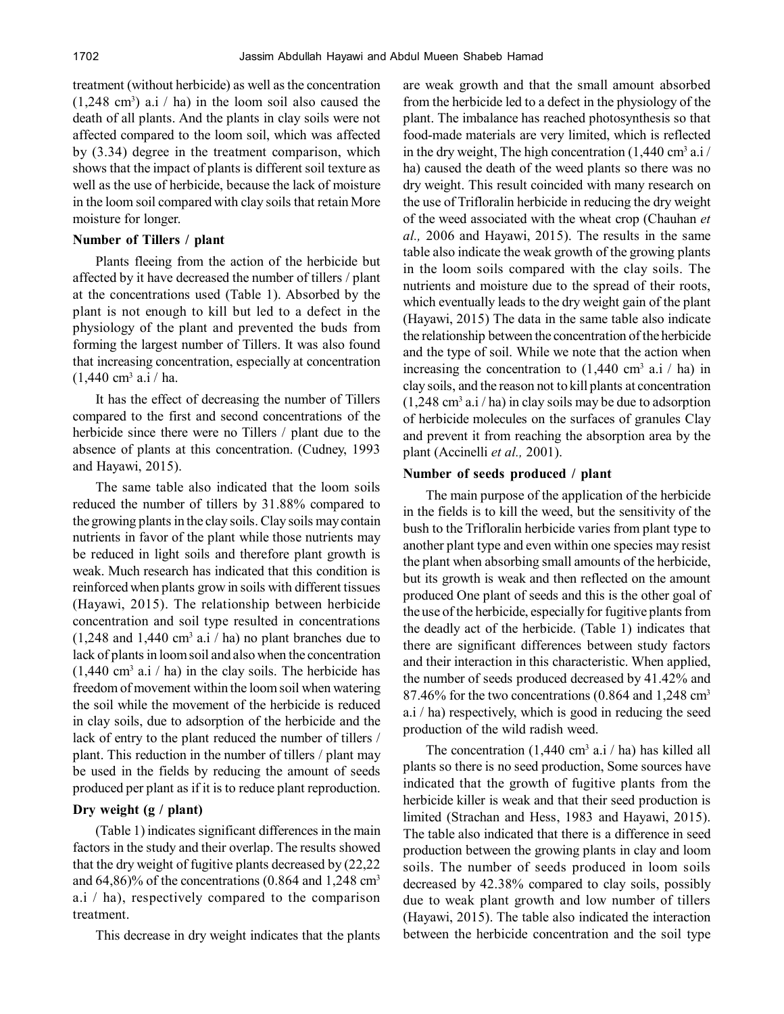treatment (without herbicide) as well as the concentration  $(1,248 \text{ cm}^3)$  a.i / ha) in the loom soil also caused the death of all plants. And the plants in clay soils were not affected compared to the loom soil, which was affected by (3.34) degree in the treatment comparison, which shows that the impact of plants is different soil texture as well as the use of herbicide, because the lack of moisture in the loom soil compared with clay soils that retain More moisture for longer.

## **Number of Tillers / plant**

Plants fleeing from the action of the herbicide but affected by it have decreased the number of tillers / plant at the concentrations used (Table 1). Absorbed by the plant is not enough to kill but led to a defect in the physiology of the plant and prevented the buds from forming the largest number of Tillers. It was also found that increasing concentration, especially at concentration  $(1,440 \text{ cm}^3 \text{ a.} \text{i} / \text{ha.})$ 

It has the effect of decreasing the number of Tillers compared to the first and second concentrations of the herbicide since there were no Tillers / plant due to the absence of plants at this concentration. (Cudney, 1993 and Hayawi, 2015).

The same table also indicated that the loom soils reduced the number of tillers by 31.88% compared to the growing plants in the clay soils. Clay soils may contain nutrients in favor of the plant while those nutrients may be reduced in light soils and therefore plant growth is weak. Much research has indicated that this condition is reinforced when plants grow in soils with different tissues (Hayawi, 2015). The relationship between herbicide concentration and soil type resulted in concentrations  $(1,248$  and  $1,440$  cm<sup>3</sup> a.i / ha) no plant branches due to lack of plants in loom soil and also when the concentration  $(1,440 \text{ cm}^3 \text{ a.} \text{ i} / \text{ ha})$  in the clay soils. The herbicide has freedom of movement within the loom soil when watering the soil while the movement of the herbicide is reduced in clay soils, due to adsorption of the herbicide and the lack of entry to the plant reduced the number of tillers / plant. This reduction in the number of tillers / plant may be used in the fields by reducing the amount of seeds produced per plant as if it is to reduce plant reproduction.

## **Dry weight (g / plant)**

(Table 1) indicates significant differences in the main factors in the study and their overlap. The results showed that the dry weight of fugitive plants decreased by (22,22 and  $64,86\%$  of the concentrations (0.864 and 1,248 cm<sup>3</sup> a.i / ha), respectively compared to the comparison treatment.

This decrease in dry weight indicates that the plants

are weak growth and that the small amount absorbed from the herbicide led to a defect in the physiology of the plant. The imbalance has reached photosynthesis so that food-made materials are very limited, which is reflected in the dry weight, The high concentration  $(1,440 \text{ cm}^3 \text{ a.1})$ ha) caused the death of the weed plants so there was no dry weight. This result coincided with many research on the use of Trifloralin herbicide in reducing the dry weight of the weed associated with the wheat crop (Chauhan *et al.,* 2006 and Hayawi, 2015). The results in the same table also indicate the weak growth of the growing plants in the loom soils compared with the clay soils. The nutrients and moisture due to the spread of their roots, which eventually leads to the dry weight gain of the plant (Hayawi, 2015) The data in the same table also indicate the relationship between the concentration of the herbicide and the type of soil. While we note that the action when increasing the concentration to  $(1,440 \text{ cm}^3 \text{ a.} \text{i} / \text{ ha})$  in clay soils, and the reason not to kill plants at concentration  $(1,248 \text{ cm}^3 \text{ a.1/ha})$  in clay soils may be due to adsorption of herbicide molecules on the surfaces of granules Clay and prevent it from reaching the absorption area by the plant (Accinelli *et al.,* 2001).

#### **Number of seeds produced / plant**

The main purpose of the application of the herbicide in the fields is to kill the weed, but the sensitivity of the bush to the Trifloralin herbicide varies from plant type to another plant type and even within one species may resist the plant when absorbing small amounts of the herbicide, but its growth is weak and then reflected on the amount produced One plant of seeds and this is the other goal of the use of the herbicide, especially for fugitive plants from the deadly act of the herbicide. (Table 1) indicates that there are significant differences between study factors and their interaction in this characteristic. When applied, the number of seeds produced decreased by 41.42% and 87.46% for the two concentrations  $(0.864$  and 1,248 cm<sup>3</sup> a.i / ha) respectively, which is good in reducing the seed production of the wild radish weed.

The concentration  $(1,440 \text{ cm}^3 \text{ a}.)$  has killed all plants so there is no seed production, Some sources have indicated that the growth of fugitive plants from the herbicide killer is weak and that their seed production is limited (Strachan and Hess, 1983 and Hayawi, 2015). The table also indicated that there is a difference in seed production between the growing plants in clay and loom soils. The number of seeds produced in loom soils decreased by 42.38% compared to clay soils, possibly due to weak plant growth and low number of tillers (Hayawi, 2015). The table also indicated the interaction between the herbicide concentration and the soil type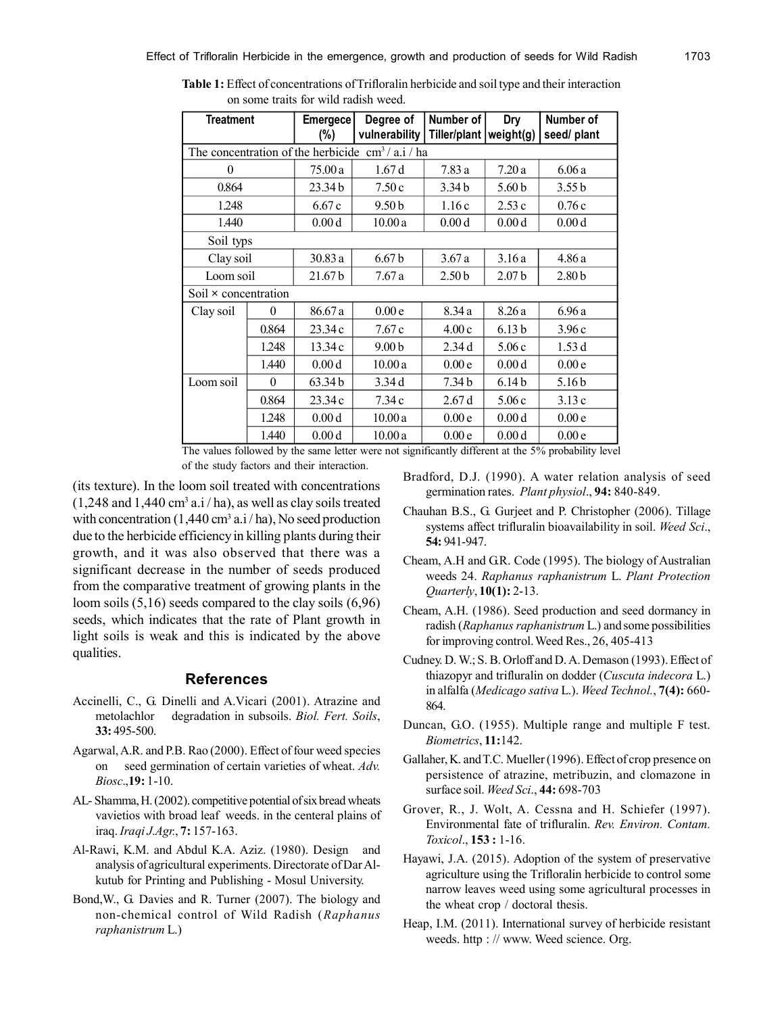| <b>Treatment</b>                                             |          | <b>Emergece</b>    | Degree of         | Number of         | Dry               | Number of         |
|--------------------------------------------------------------|----------|--------------------|-------------------|-------------------|-------------------|-------------------|
|                                                              |          |                    |                   |                   |                   |                   |
|                                                              |          | (%)                | vulnerability     | Tiller/plant      | weight(g)         | seed/ plant       |
| The concentration of the herbicide $\text{ cm}^3$ / a.i / ha |          |                    |                   |                   |                   |                   |
| 0                                                            |          | 75.00 a            | 1.67d             | 7.83 a            | 7.20a             | 6.06a             |
| 0.864                                                        |          | 23.34b             | 7.50c             | 3.34 <sub>b</sub> | 5.60 <sub>b</sub> | 3.55 b            |
| 1.248                                                        |          | 6.67c              | 9.50 <sub>b</sub> | 1.16c             | 2.53c             | 0.76c             |
| 1.440                                                        |          | 0.00 <sub>d</sub>  | 10.00a            | 0.00 <sub>d</sub> | 0.00d             | 0.00d             |
| Soil typs                                                    |          |                    |                   |                   |                   |                   |
| Clay soil                                                    |          | 30.83 a            | 6.67 <sub>b</sub> | 3.67a             | 3.16a             | 4.86a             |
| Loom soil                                                    |          | 21.67 <sub>b</sub> | 7.67a             | 2.50 <sub>b</sub> | 2.07 <sub>b</sub> | 2.80 <sub>b</sub> |
| Soil $\times$ concentration                                  |          |                    |                   |                   |                   |                   |
| Clay soil                                                    | $\theta$ | 86.67 a            | 0.00e             | 8.34a             | 8.26a             | 6.96a             |
|                                                              | 0.864    | 23.34c             | 7.67c             | 4.00c             | 6.13 <sub>b</sub> | 3.96c             |
|                                                              | 1.248    | 13.34c             | 9.00 <sub>b</sub> | 2.34d             | 5.06c             | 1.53d             |
|                                                              | 1.440    | 0.00 <sub>d</sub>  | 10.00a            | 0.00e             | 0.00d             | 0.00e             |
| Loom soil                                                    | $\theta$ | 63.34b             | 3.34d             | 7.34 <sub>b</sub> | 6.14 <sub>b</sub> | 5.16 <sub>b</sub> |
|                                                              | 0.864    | 23.34 c            | 7.34c             | 2.67d             | 5.06c             | 3.13c             |
|                                                              | 1.248    | 0.00 <sub>d</sub>  | 10.00a            | 0.00e             | 0.00 <sub>d</sub> | 0.00e             |
|                                                              | 1.440    | 0.00 <sub>d</sub>  | 10.00a            | 0.00e             | 0.00d             | 0.00e             |

**Table 1:** Effect of concentrations of Trifloralin herbicide and soil type and their interaction on some traits for wild radish weed.

The values followed by the same letter were not significantly different at the 5% probability level of the study factors and their interaction.

(its texture). In the loom soil treated with concentrations  $(1,248$  and  $1,440$  cm<sup>3</sup> a.i / ha), as well as clay soils treated with concentration  $(1,440 \text{ cm}^3 \text{ a}.)$  ha), No seed production due to the herbicide efficiency in killing plants during their growth, and it was also observed that there was a significant decrease in the number of seeds produced from the comparative treatment of growing plants in the loom soils (5,16) seeds compared to the clay soils (6,96) seeds, which indicates that the rate of Plant growth in light soils is weak and this is indicated by the above qualities.

### **References**

- Accinelli, C., G. Dinelli and A.Vicari (2001). Atrazine and metolachlor degradation in subsoils. *Biol. Fert. Soils*, **33:** 495-500.
- Agarwal, A.R. and P.B. Rao (2000). Effect of four weed species on seed germination of certain varieties of wheat. *Adv. Biosc*.,**19:** 1-10.
- AL- Shamma, H. (2002). competitive potential of six bread wheats vavietios with broad leaf weeds. in the centeral plains of iraq. *Iraqi J.Agr.*, **7:** 157-163.
- Al-Rawi, K.M. and Abdul K.A. Aziz. (1980). Design and analysis of agricultural experiments. Directorate of Dar Alkutub for Printing and Publishing - Mosul University.
- Bond,W., G. Davies and R. Turner (2007). The biology and non-chemical control of Wild Radish (*Raphanus raphanistrum* L.)
- Bradford, D.J. (1990). A water relation analysis of seed germination rates. *Plant physiol*., **94:** 840-849.
- Chauhan B.S., G. Gurjeet and P. Christopher (2006). Tillage systems affect trifluralin bioavailability in soil. *Weed Sci*., **54:** 941-947.
- Cheam, A.H and G.R. Code (1995). The biology of Australian weeds 24. *Raphanus raphanistrum* L. *Plant Protection Quarterly*, **10(1):** 2-13.
- Cheam, A.H. (1986). Seed production and seed dormancy in radish (*Raphanus raphanistrum* L.) and some possibilities for improving control. Weed Res., 26, 405-413
- Cudney. D. W.; S. B. Orloff and D. A. Demason (1993). Effect of thiazopyr and trifluralin on dodder (*Cuscuta indecora* L.) in alfalfa (*Medicago sativa* L.). *Weed Technol.*, **7(4):** 660- 864.
- Duncan, G.O. (1955). Multiple range and multiple F test. *Biometrics*, **11:**142.
- Gallaher, K. and T.C. Mueller (1996). Effect of crop presence on persistence of atrazine, metribuzin, and clomazone in surface soil. *Weed Sci*., **44:** 698-703
- Grover, R., J. Wolt, A. Cessna and H. Schiefer (1997). Environmental fate of trifluralin. *Rev. Environ. Contam. Toxicol*., **153 :** 1-16.
- Hayawi, J.A. (2015). Adoption of the system of preservative agriculture using the Trifloralin herbicide to control some narrow leaves weed using some agricultural processes in the wheat crop / doctoral thesis.
- Heap, I.M. (2011). International survey of herbicide resistant weeds. http : // www. Weed science. Org.